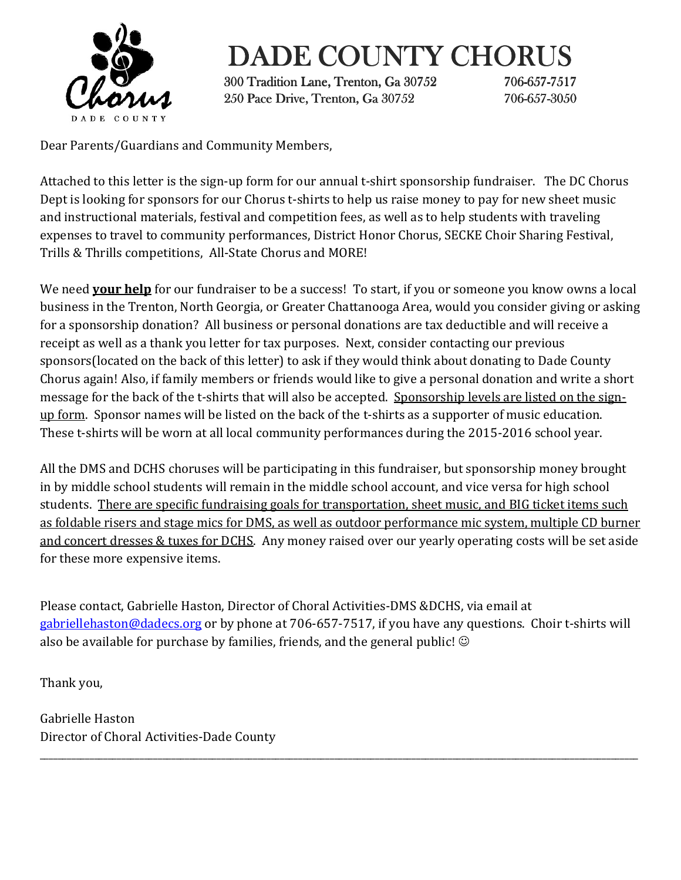

## DADE COUNTY CHORUS

300 Tradition Lane, Trenton, Ga 30752 300 Tradition Lane, Trenton, 706-657-7517 250 Pace Drive, Trenton, Ga 30752 706-657-3050

Dear Parents/Guardians and Community Members,

Attached to this letter is the sign-up form for our annual t-shirt sponsorship fundraiser. The DC Chorus Dept is looking for sponsors for our Chorus t-shirts to help us raise money to pay for new sheet music and instructional materials, festival and competition fees, as well as to help students with traveling expenses to travel to community performances, District Honor Chorus, SECKE Choir Sharing Festival, Trills & Thrills competitions, All-State Chorus and MORE!

We need **your help** for our fundraiser to be a success! To start, if you or someone you know owns a local business in the Trenton, North Georgia, or Greater Chattanooga Area, would you consider giving or asking for a sponsorship donation? All business or personal donations are tax deductible and will receive a receipt as well as a thank you letter for tax purposes. Next, consider contacting our previous sponsors(located on the back of this letter) to ask if they would think about donating to Dade County Chorus again! Also, if family members or friends would like to give a personal donation and write a short message for the back of the t-shirts that will also be accepted. Sponsorship levels are listed on the signup form. Sponsor names will be listed on the back of the t-shirts as a supporter of music education. These t-shirts will be worn at all local community performances during the 2015-2016 school year.

All the DMS and DCHS choruses will be participating in this fundraiser, but sponsorship money brought in by middle school students will remain in the middle school account, and vice versa for high school students. There are specific fundraising goals for transportation, sheet music, and BIG ticket items such as foldable risers and stage mics for DMS, as well as outdoor performance mic system, multiple CD burner and concert dresses & tuxes for DCHS. Any money raised over our yearly operating costs will be set aside for these more expensive items.

Please contact, Gabrielle Haston, Director of Choral Activities-DMS &DCHS, via email at gabriellehaston@dadecs.org or by phone at 706-657-7517, if you have any questions. Choir t-shirts will also be available for purchase by families, friends, and the general public!  $\odot$ 

\_\_\_\_\_\_\_\_\_\_\_\_\_\_\_\_\_\_\_\_\_\_\_\_\_\_\_\_\_\_\_\_\_\_\_\_\_\_\_\_\_\_\_\_\_\_\_\_\_\_\_\_\_\_\_\_\_\_\_\_\_\_\_\_\_\_\_\_\_\_\_\_\_\_\_\_\_\_\_\_\_\_\_\_\_\_\_\_\_\_\_\_\_\_\_\_\_\_\_\_\_\_\_\_\_\_\_\_\_\_\_\_\_\_\_\_\_\_\_\_\_\_\_\_\_\_\_\_\_\_\_\_

Thank you,

Gabrielle Haston Director of Choral Activities-Dade County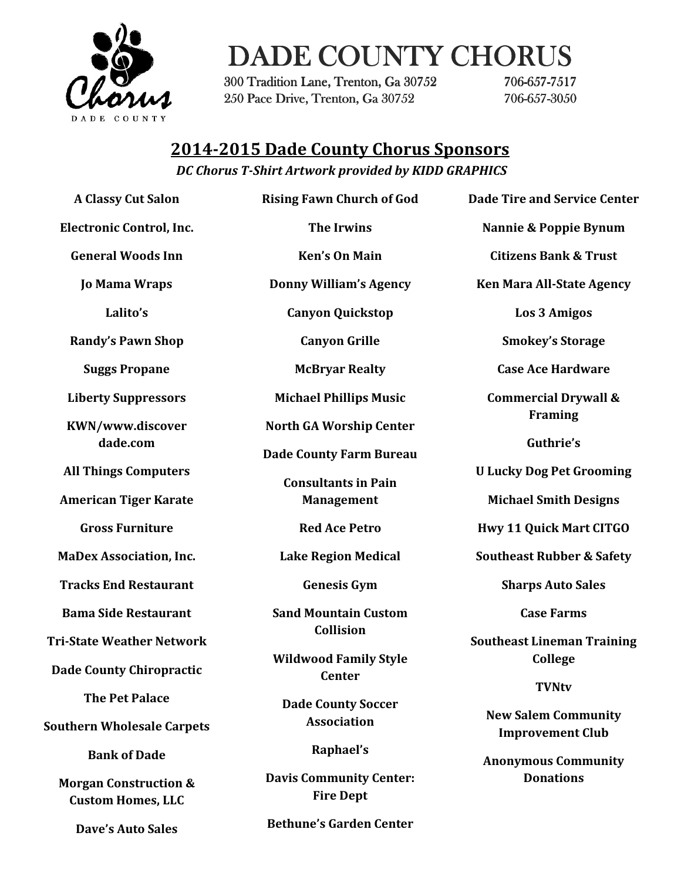

## DADE COUNTY CHORUS

300 Tradition Lane, Trenton, Ga 30752 300 Tradition Lane, Trenton, 706-657-7517 250 Pace Drive, Trenton, Ga 30752 706-657-3050

### 2014-2015 Dade County Chorus Sponsors

DC Chorus T-Shirt Artwork provided by KIDD GRAPHICS

A Classy Cut Salon Electronic Control, Inc. General Woods Inn Jo Mama Wraps Lalito's Randy's Pawn Shop Suggs Propane Liberty Suppressors KWN/www.discover dade.com All Things Computers American Tiger Karate Gross Furniture MaDex Association, Inc. Tracks End Restaurant Bama Side Restaurant Tri-State Weather Network Dade County Chiropractic The Pet Palace Southern Wholesale Carpets Bank of Dade Morgan Construction & Custom Homes, LLC

Dave's Auto Sales

Rising Fawn Church of God The Irwins Ken's On Main Donny William's Agency Canyon Quickstop Canyon Grille McBryar Realty Michael Phillips Music North GA Worship Center Dade County Farm Bureau Consultants in Pain Management Red Ace Petro Lake Region Medical Genesis Gym Sand Mountain Custom Collision Wildwood Family Style **Center** Dade County Soccer Association Raphael's Davis Community Center: Fire Dept

Nannie & Poppie Bynum

Dade Tire and Service Center

Citizens Bank & Trust

Ken Mara All-State Agency

Los 3 Amigos

Smokey's Storage

Case Ace Hardware

Commercial Drywall & Framing

Guthrie's

U Lucky Dog Pet Grooming

Michael Smith Designs

Hwy 11 Quick Mart CITGO

Southeast Rubber & Safety

Sharps Auto Sales

Case Farms

Southeast Lineman Training College

#### **TVNtv**

New Salem Community Improvement Club

Anonymous Community **Donations** 

Bethune's Garden Center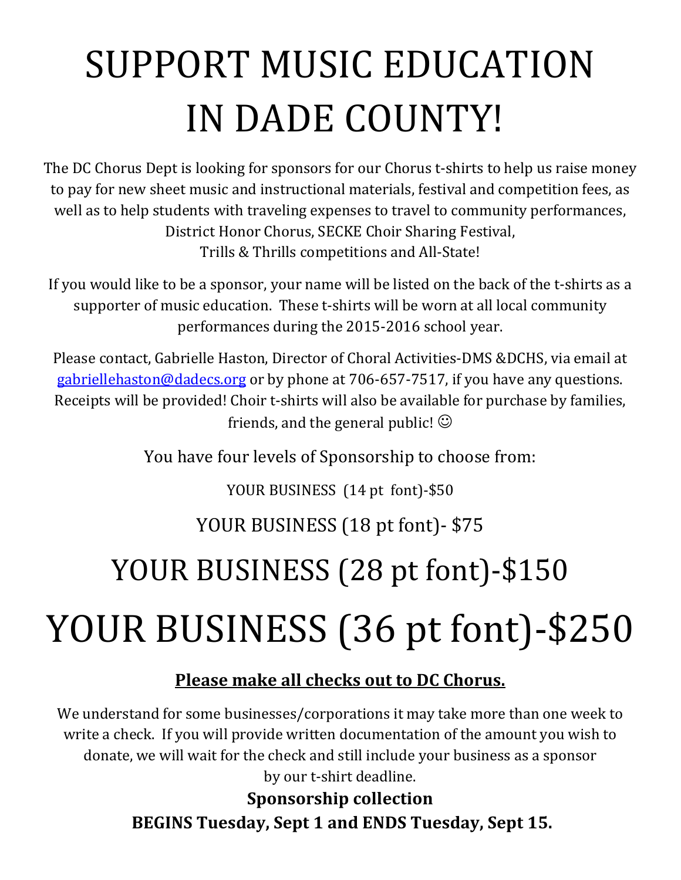# SUPPORT MUSIC EDUCATION IN DADE COUNTY!

The DC Chorus Dept is looking for sponsors for our Chorus t-shirts to help us raise money to pay for new sheet music and instructional materials, festival and competition fees, as well as to help students with traveling expenses to travel to community performances, District Honor Chorus, SECKE Choir Sharing Festival, Trills & Thrills competitions and All-State!

If you would like to be a sponsor, your name will be listed on the back of the t-shirts as a supporter of music education. These t-shirts will be worn at all local community performances during the 2015-2016 school year.

Please contact, Gabrielle Haston, Director of Choral Activities-DMS &DCHS, via email at gabriellehaston@dadecs.org or by phone at 706-657-7517, if you have any questions. Receipts will be provided! Choir t-shirts will also be available for purchase by families, friends, and the general public!  $\odot$ 

You have four levels of Sponsorship to choose from:

YOUR BUSINESS (14 pt font)-\$50

YOUR BUSINESS (18 pt font)- \$75

## YOUR BUSINESS (28 pt font)-\$150

# YOUR BUSINESS (36 pt font)-\$250

### Please make all checks out to DC Chorus.

We understand for some businesses/corporations it may take more than one week to write a check. If you will provide written documentation of the amount you wish to donate, we will wait for the check and still include your business as a sponsor by our t-shirt deadline.

> Sponsorship collection BEGINS Tuesday, Sept 1 and ENDS Tuesday, Sept 15.